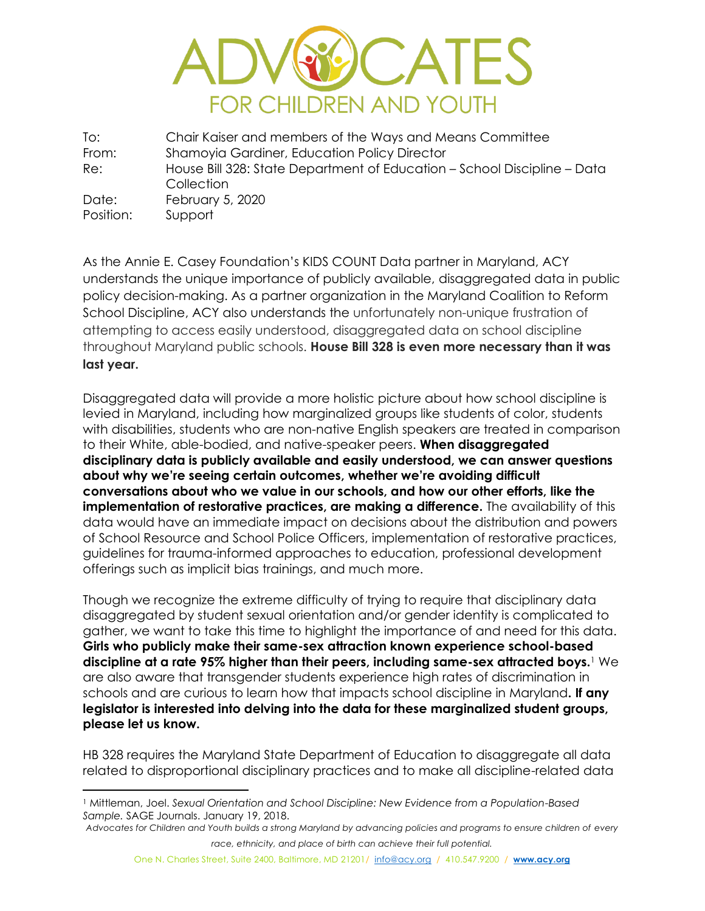

To: Chair Kaiser and members of the Ways and Means Committee From: Shamoyia Gardiner, Education Policy Director Re: House Bill 328: State Department of Education – School Discipline – Data **Collection** Date: February 5, 2020 Position: Support

As the Annie E. Casey Foundation's KIDS COUNT Data partner in Maryland, ACY understands the unique importance of publicly available, disaggregated data in public policy decision-making. As a partner organization in the Maryland Coalition to Reform School Discipline, ACY also understands the unfortunately non-unique frustration of attempting to access easily understood, disaggregated data on school discipline throughout Maryland public schools. **House Bill 328 is even more necessary than it was last year.**

Disaggregated data will provide a more holistic picture about how school discipline is levied in Maryland, including how marginalized groups like students of color, students with disabilities, students who are non-native English speakers are treated in comparison to their White, able-bodied, and native-speaker peers. **When disaggregated disciplinary data is publicly available and easily understood, we can answer questions about why we're seeing certain outcomes, whether we're avoiding difficult conversations about who we value in our schools, and how our other efforts, like the implementation of restorative practices, are making a difference.** The availability of this data would have an immediate impact on decisions about the distribution and powers of School Resource and School Police Officers, implementation of restorative practices, guidelines for trauma-informed approaches to education, professional development offerings such as implicit bias trainings, and much more.

Though we recognize the extreme difficulty of trying to require that disciplinary data disaggregated by student sexual orientation and/or gender identity is complicated to gather, we want to take this time to highlight the importance of and need for this data. **Girls who publicly make their same-sex attraction known experience school-based discipline at a rate 95% higher than their peers, including same-sex attracted boys.**<sup>1</sup> We are also aware that transgender students experience high rates of discrimination in schools and are curious to learn how that impacts school discipline in Maryland**. If any legislator is interested into delving into the data for these marginalized student groups, please let us know.**

HB 328 requires the Maryland State Department of Education to disaggregate all data related to disproportional disciplinary practices and to make all discipline-related data

<sup>1</sup> Mittleman, Joel. *Sexual Orientation and School Discipline: New Evidence from a Population-Based Sample.* SAGE Journals. January 19, 2018.

*Advocates for Children and Youth builds a strong Maryland by advancing policies and programs to ensure children of every race, ethnicity, and place of birth can achieve their full potential.*